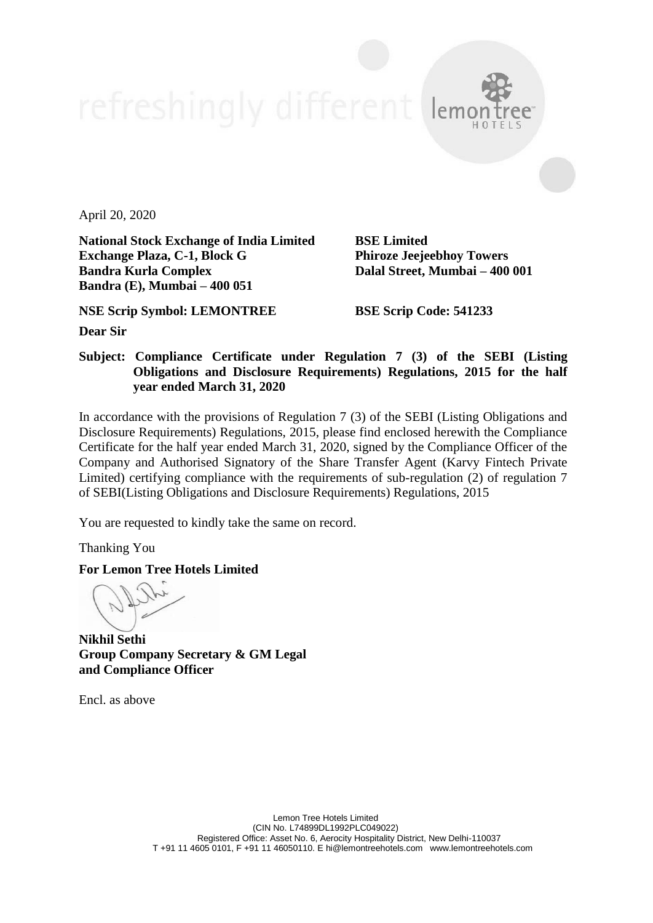April 20, 2020

**National Stock Exchange of India Limited BSE Limited Exchange Plaza, C-1, Block G Phiroze Jeejeebhoy Towers Bandra Kurla Complex Dalal Street, Mumbai – 400 001 Bandra (E), Mumbai – 400 051**

**NSE Scrip Symbol: LEMONTREE BSE Scrip Code: 541233**

**Dear Sir**

**Subject: Compliance Certificate under Regulation 7 (3) of the SEBI (Listing Obligations and Disclosure Requirements) Regulations, 2015 for the half year ended March 31, 2020**

In accordance with the provisions of Regulation 7 (3) of the SEBI (Listing Obligations and Disclosure Requirements) Regulations, 2015, please find enclosed herewith the Compliance Certificate for the half year ended March 31, 2020, signed by the Compliance Officer of the Company and Authorised Signatory of the Share Transfer Agent (Karvy Fintech Private Limited) certifying compliance with the requirements of sub-regulation (2) of regulation 7 of SEBI(Listing Obligations and Disclosure Requirements) Regulations, 2015

You are requested to kindly take the same on record.

Thanking You

**For Lemon Tree Hotels Limited**

**Nikhil Sethi Group Company Secretary & GM Legal and Compliance Officer**

Encl. as above